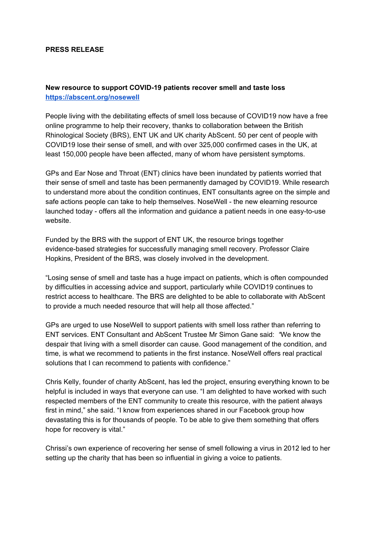#### **PRESS RELEASE**

### **New resource to support COVID-19 patients recover smell and taste loss <https://abscent.org/nosewell>**

People living with the debilitating effects of smell loss because of COVID19 now have a free online programme to help their recovery, thanks to collaboration between the British Rhinological Society (BRS), ENT UK and UK charity AbScent. 50 per cent of people with COVID19 lose their sense of smell, and with over 325,000 confirmed cases in the UK, at least 150,000 people have been affected, many of whom have persistent symptoms.

GPs and Ear Nose and Throat (ENT) clinics have been inundated by patients worried that their sense of smell and taste has been permanently damaged by COVID19. While research to understand more about the condition continues, ENT consultants agree on the simple and safe actions people can take to help themselves. NoseWell - the new elearning resource launched today - offers all the information and guidance a patient needs in one easy-to-use website.

Funded by the BRS with the support of ENT UK, the resource brings together evidence-based strategies for successfully managing smell recovery. Professor Claire Hopkins, President of the BRS, was closely involved in the development.

"Losing sense of smell and taste has a huge impact on patients, which is often compounded by difficulties in accessing advice and support, particularly while COVID19 continues to restrict access to healthcare. The BRS are delighted to be able to collaborate with AbScent to provide a much needed resource that will help all those affected."

GPs are urged to use NoseWell to support patients with smell loss rather than referring to ENT services. ENT Consultant and AbScent Trustee Mr Simon Gane said: *"*We know the despair that living with a smell disorder can cause. Good management of the condition, and time, is what we recommend to patients in the first instance. NoseWell offers real practical solutions that I can recommend to patients with confidence."

Chris Kelly, founder of charity AbScent, has led the project, ensuring everything known to be helpful is included in ways that everyone can use. "I am delighted to have worked with such respected members of the ENT community to create this resource, with the patient always first in mind," she said. "I know from experiences shared in our Facebook group how devastating this is for thousands of people. To be able to give them something that offers hope for recovery is vital."

Chrissi's own experience of recovering her sense of smell following a virus in 2012 led to her setting up the charity that has been so influential in giving a voice to patients.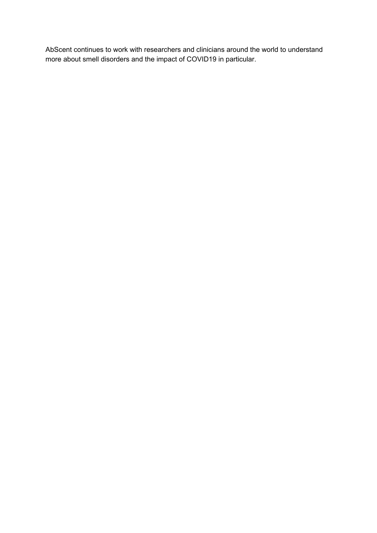AbScent continues to work with researchers and clinicians around the world to understand more about smell disorders and the impact of COVID19 in particular.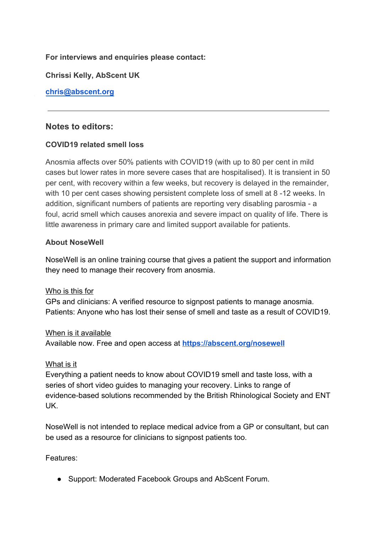# **For interviews and enquiries please contact:**

**Chrissi Kelly, AbScent UK** 

**[chris@abscent.org](mailto:chris@abscent.org)**

# **Notes to editors:**

## **COVID19 related smell loss**

Anosmia affects over 50% patients with COVID19 (with up to 80 per cent in mild cases but lower rates in more severe cases that are hospitalised). It is transient in 50 per cent, with recovery within a few weeks, but recovery is delayed in the remainder, with 10 per cent cases showing persistent complete loss of smell at 8 -12 weeks. In addition, significant numbers of patients are reporting very disabling parosmia - a foul, acrid smell which causes anorexia and severe impact on quality of life. There is little awareness in primary care and limited support available for patients.

## **About NoseWell**

NoseWell is an online training course that gives a patient the support and information they need to manage their recovery from anosmia.

### Who is this for

GPs and clinicians: A verified resource to signpost patients to manage anosmia. Patients: Anyone who has lost their sense of smell and taste as a result of COVID19.

### When is it available

Available now. Free and open access at **<https://abscent.org/nosewell>**

### What is it

Everything a patient needs to know about COVID19 smell and taste loss, with a series of short video guides to managing your recovery. Links to range of evidence-based solutions recommended by the British Rhinological Society and ENT UK.

NoseWell is not intended to replace medical advice from a GP or consultant, but can be used as a resource for clinicians to signpost patients too.

Features:

● Support: Moderated Facebook Groups and AbScent Forum.